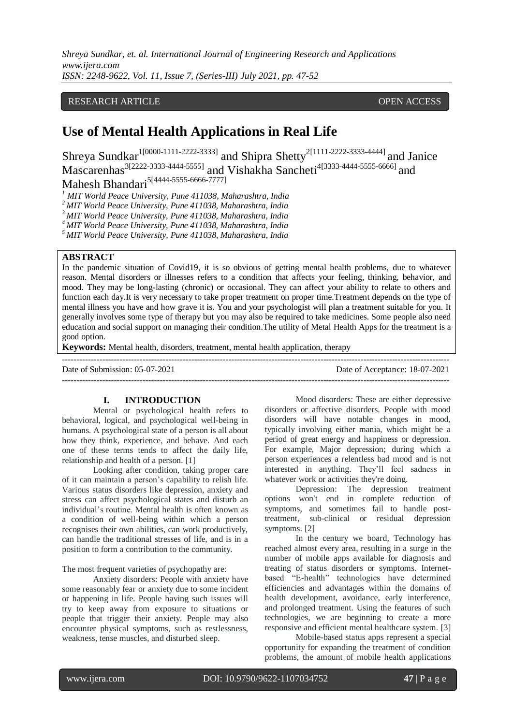# RESEARCH ARTICLE **CONTRACT ARTICLE**

# **Use of Mental Health Applications in Real Life**

Shreya Sundkar<sup>1[0000-1111-2222-3333]</sup> and Shipra Shetty<sup>2[1111-2222-3333-4444]</sup> and Janice Mascarenhas<sup>3[2222-3333-4444-5555]</sup> and Vishakha Sancheti<sup>4[3333-4444-5555-6666] and</sup> Mahesh Bhandari<sup>5[4444-5555-6666-7777]</sup>

*<sup>1</sup> MIT World Peace University, Pune 411038, Maharashtra, India*

*<sup>2</sup>MIT World Peace University, Pune 411038, Maharashtra, India*

*<sup>3</sup>MIT World Peace University, Pune 411038, Maharashtra, India*

*<sup>4</sup>MIT World Peace University, Pune 411038, Maharashtra, India*

*<sup>5</sup>MIT World Peace University, Pune 411038, Maharashtra, India*

# **ABSTRACT**

In the pandemic situation of Covid19, it is so obvious of getting mental health problems, due to whatever reason. Mental disorders or illnesses refers to a condition that affects your feeling, thinking, behavior, and mood. They may be long-lasting (chronic) or occasional. They can affect your ability to relate to others and function each day.It is very necessary to take proper treatment on proper time.Treatment depends on the type of mental illness you have and how grave it is. You and your psychologist will plan a treatment suitable for you. It generally involves some type of therapy but you may also be required to take medicines. Some people also need education and social support on managing their condition.The utility of Metal Health Apps for the treatment is a good option.

**Keywords:** Mental health, disorders, treatment, mental health application, therapy

Date of Submission: 05-07-2021 Date of Acceptance: 18-07-2021

# **I. INTRODUCTION**

Mental or psychological health refers to behavioral, logical, and psychological well-being in humans. A psychological state of a person is all about how they think, experience, and behave. And each one of these terms tends to affect the daily life, relationship and health of a person. [1]

Looking after condition, taking proper care of it can maintain a person's capability to relish life. Various status disorders like depression, anxiety and stress can affect psychological states and disturb an individual's routine. Mental health is often known as a condition of well-being within which a person recognises their own abilities, can work productively, can handle the traditional stresses of life, and is in a position to form a contribution to the community.

The most frequent varieties of psychopathy are:

Anxiety disorders: People with anxiety have some reasonably fear or anxiety due to some incident or happening in life. People having such issues will try to keep away from exposure to situations or people that trigger their anxiety. People may also encounter physical symptoms, such as restlessness, weakness, tense muscles, and disturbed sleep.

Mood disorders: These are either depressive disorders or affective disorders. People with mood disorders will have notable changes in mood, typically involving either mania, which might be a period of great energy and happiness or depression. For example, Major depression; during which a person experiences a relentless bad mood and is not interested in anything. They'll feel sadness in whatever work or activities they're doing.

---------------------------------------------------------------------------------------------------------------------------------------

Depression: The depression treatment options won't end in complete reduction of symptoms, and sometimes fail to handle posttreatment, sub-clinical or residual depression symptoms. [2]

In the century we board, Technology has reached almost every area, resulting in a surge in the number of mobile apps available for diagnosis and treating of status disorders or symptoms. Internetbased "E-health" technologies have determined efficiencies and advantages within the domains of health development, avoidance, early interference, and prolonged treatment. Using the features of such technologies, we are beginning to create a more responsive and efficient mental healthcare system. [3]

Mobile-based status apps represent a special opportunity for expanding the treatment of condition problems, the amount of mobile health applications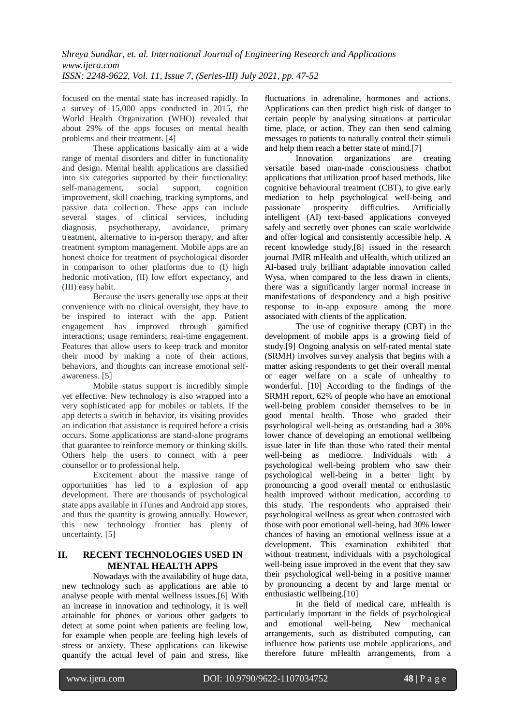focused on the mental state has increased rapidly. In a survey of 15,000 apps conducted in 2015, the World Health Organization (WHO) revealed that about 29% of the apps focuses on mental health problems and their treatment. [4]

These applications basically aim at a wide range of mental disorders and differ in functionality and design. Mental health applications are classified into six categories supported by their functionality: self-management, social support, cognition improvement, skill coaching, tracking symptoms, and passive data collection. These apps can include several stages of clinical services, including diagnosis, psychotherapy, avoidance, primary treatment, alternative to in-person therapy, and after treatment symptom management. Mobile apps are an honest choice for treatment of psychological disorder in comparison to other platforms due to (I) high hedonic motivation, (II) low effort expectancy, and (III) easy habit.

Because the users generally use apps at their convenience with no clinical oversight, they have to be inspired to interact with the app. Patient engagement has improved through gamified interactions; usage reminders; real-time engagement. Features that allow users to keep track and monitor their mood by making a note of their actions, behaviors, and thoughts can increase emotional selfawareness. [5]

Mobile status support is incredibly simple yet effective. New technology is also wrapped into a very sophisticated app for mobiles or tablets. If the app detects a switch in behavior, its visiting provides an indication that assistance is required before a crisis occurs. Some applicationss are stand-alone programs that guarantee to reinforce memory or thinking skills. Others help the users to connect with a peer counsellor or to professional help.

Excitement about the massive range of opportunities has led to a explosion of app development. There are thousands of psychological state apps available in iTunes and Android app stores, and thus the quantity is growing annually. However, this new technology frontier has plenty of uncertainty. [5]

# **II. RECENT TECHNOLOGIES USED IN MENTAL HEALTH APPS**

Nowadays with the availability of huge data, new technology such as applications are able to analyse people with mental wellness issues.[6] With an increase in innovation and technology, it is well attainable for phones or various other gadgets to detect at some point when patients are feeling low, for example when people are feeling high levels of stress or anxiety. These applications can likewise quantify the actual level of pain and stress, like

fluctuations in adrenaline, hormones and actions. Applications can then predict high risk of danger to certain people by analysing situations at particular time, place, or action. They can then send calming messages to patients to naturally control their stimuli and help them reach a better state of mind.[7]

Innovation organizations are creating versatile based man-made consciousness chatbot applications that utilization proof based methods, like cognitive behavioural treatment (CBT), to give early mediation to help psychological well-being and passionate prosperity difficulties. Artificially intelligent (AI) text-based applications conveyed safely and secretly over phones can scale worldwide and offer logical and consistently accessible help. A recent knowledge study,[8] issued in the research journal JMIR mHealth and uHealth, which utilized an AI-based truly brilliant adaptable innovation called Wysa, when compared to the less drawn in clients, there was a significantly larger normal increase in manifestations of despondency and a high positive response to in-app exposure among the more associated with clients of the application.

The use of cognitive therapy (CBT) in the development of mobile apps is a growing field of study.[9] Ongoing analysis on self-rated mental state (SRMH) involves survey analysis that begins with a matter asking respondents to get their overall mental or eager welfare on a scale of unhealthy to wonderful. [10] According to the findings of the SRMH report, 62% of people who have an emotional well-being problem consider themselves to be in good mental health. Those who graded their psychological well-being as outstanding had a 30% lower chance of developing an emotional wellbeing issue later in life than those who rated their mental well-being as mediocre. Individuals with a psychological well-being problem who saw their psychological well-being in a better light by pronouncing a good overall mental or enthusiastic health improved without medication, according to this study. The respondents who appraised their psychological wellness as great when contrasted with those with poor emotional well-being, had 30% lower chances of having an emotional wellness issue at a development. This examination exhibited that without treatment, individuals with a psychological well-being issue improved in the event that they saw their psychological well-being in a positive manner by pronouncing a decent by and large mental or enthusiastic wellbeing.[10]

In the field of medical care, mHealth is particularly important in the fields of psychological and emotional well-being. New mechanical arrangements, such as distributed computing, can influence how patients use mobile applications, and therefore future mHealth arrangements, from a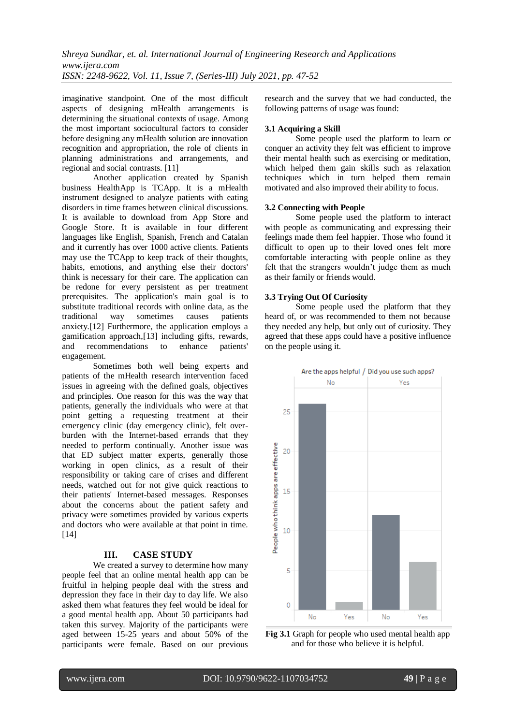imaginative standpoint. One of the most difficult aspects of designing mHealth arrangements is determining the situational contexts of usage. Among the most important sociocultural factors to consider before designing any mHealth solution are innovation recognition and appropriation, the role of clients in planning administrations and arrangements, and regional and social contrasts. [11]

Another application created by Spanish business HealthApp is TCApp. It is a mHealth instrument designed to analyze patients with eating disorders in time frames between clinical discussions. It is available to download from App Store and Google Store. It is available in four different languages like English, Spanish, French and Catalan and it currently has over 1000 active clients. Patients may use the TCApp to keep track of their thoughts, habits, emotions, and anything else their doctors' think is necessary for their care. The application can be redone for every persistent as per treatment prerequisites. The application's main goal is to substitute traditional records with online data, as the traditional way sometimes causes patients anxiety.[12] Furthermore, the application employs a gamification approach,[13] including gifts, rewards, and recommendations to enhance patients' engagement.

Sometimes both well being experts and patients of the mHealth research intervention faced issues in agreeing with the defined goals, objectives and principles. One reason for this was the way that patients, generally the individuals who were at that point getting a requesting treatment at their emergency clinic (day emergency clinic), felt overburden with the Internet-based errands that they needed to perform continually. Another issue was that ED subject matter experts, generally those working in open clinics, as a result of their responsibility or taking care of crises and different needs, watched out for not give quick reactions to their patients' Internet-based messages. Responses about the concerns about the patient safety and privacy were sometimes provided by various experts and doctors who were available at that point in time. [14]

# **III. CASE STUDY**

We created a survey to determine how many people feel that an online mental health app can be fruitful in helping people deal with the stress and depression they face in their day to day life. We also asked them what features they feel would be ideal for a good mental health app. About 50 participants had taken this survey. Majority of the participants were aged between 15-25 years and about 50% of the participants were female. Based on our previous research and the survey that we had conducted, the following patterns of usage was found:

# **3.1 Acquiring a Skill**

Some people used the platform to learn or conquer an activity they felt was efficient to improve their mental health such as exercising or meditation, which helped them gain skills such as relaxation techniques which in turn helped them remain motivated and also improved their ability to focus.

# **3.2 Connecting with People**

Some people used the platform to interact with people as communicating and expressing their feelings made them feel happier. Those who found it difficult to open up to their loved ones felt more comfortable interacting with people online as they felt that the strangers wouldn't judge them as much as their family or friends would.

# **3.3 Trying Out Of Curiosity**

Some people used the platform that they heard of, or was recommended to them not because they needed any help, but only out of curiosity. They agreed that these apps could have a positive influence on the people using it.



**Fig 3.1** Graph for people who used mental health app and for those who believe it is helpful.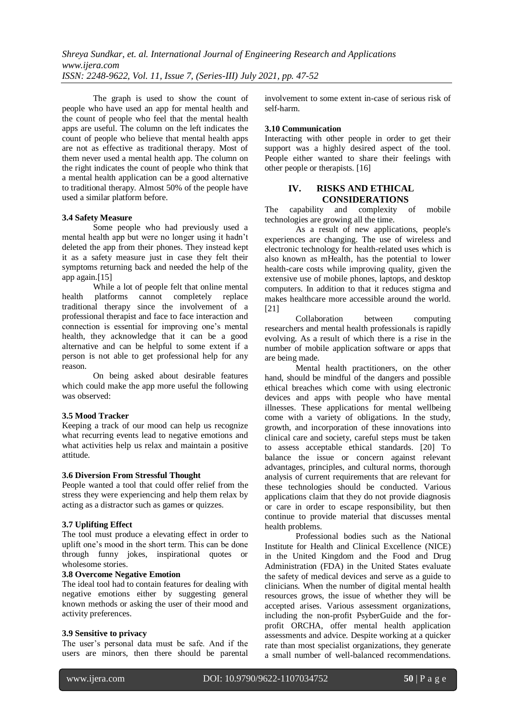The graph is used to show the count of people who have used an app for mental health and the count of people who feel that the mental health apps are useful. The column on the left indicates the count of people who believe that mental health apps are not as effective as traditional therapy. Most of them never used a mental health app. The column on the right indicates the count of people who think that a mental health application can be a good alternative to traditional therapy. Almost 50% of the people have used a similar platform before.

# **3.4 Safety Measure**

Some people who had previously used a mental health app but were no longer using it hadn't deleted the app from their phones. They instead kept it as a safety measure just in case they felt their symptoms returning back and needed the help of the app again.[15]

While a lot of people felt that online mental health platforms cannot completely replace traditional therapy since the involvement of a professional therapist and face to face interaction and connection is essential for improving one's mental health, they acknowledge that it can be a good alternative and can be helpful to some extent if a person is not able to get professional help for any reason.

On being asked about desirable features which could make the app more useful the following was observed:

#### **3.5 Mood Tracker**

Keeping a track of our mood can help us recognize what recurring events lead to negative emotions and what activities help us relax and maintain a positive attitude.

#### **3.6 Diversion From Stressful Thought**

People wanted a tool that could offer relief from the stress they were experiencing and help them relax by acting as a distractor such as games or quizzes.

# **3.7 Uplifting Effect**

The tool must produce a elevating effect in order to uplift one's mood in the short term. This can be done through funny jokes, inspirational quotes or wholesome stories.

# **3.8 Overcome Negative Emotion**

The ideal tool had to contain features for dealing with negative emotions either by suggesting general known methods or asking the user of their mood and activity preferences.

#### **3.9 Sensitive to privacy**

The user's personal data must be safe. And if the users are minors, then there should be parental involvement to some extent in-case of serious risk of self-harm.

# **3.10 Communication**

Interacting with other people in order to get their support was a highly desired aspect of the tool. People either wanted to share their feelings with other people or therapists. [16]

# **IV. RISKS AND ETHICAL CONSIDERATIONS**

The capability and complexity of mobile technologies are growing all the time.

As a result of new applications, people's experiences are changing. The use of wireless and electronic technology for health-related uses which is also known as mHealth, has the potential to lower health-care costs while improving quality, given the extensive use of mobile phones, laptops, and desktop computers. In addition to that it reduces stigma and makes healthcare more accessible around the world. [21]

Collaboration between computing researchers and mental health professionals is rapidly evolving. As a result of which there is a rise in the number of mobile application software or apps that are being made.

Mental health practitioners, on the other hand, should be mindful of the dangers and possible ethical breaches which come with using electronic devices and apps with people who have mental illnesses. These applications for mental wellbeing come with a variety of obligations. In the study, growth, and incorporation of these innovations into clinical care and society, careful steps must be taken to assess acceptable ethical standards. [20] To balance the issue or concern against relevant advantages, principles, and cultural norms, thorough analysis of current requirements that are relevant for these technologies should be conducted. Various applications claim that they do not provide diagnosis or care in order to escape responsibility, but then continue to provide material that discusses mental health problems.

Professional bodies such as the National Institute for Health and Clinical Excellence (NICE) in the United Kingdom and the Food and Drug Administration (FDA) in the United States evaluate the safety of medical devices and serve as a guide to clinicians. When the number of digital mental health resources grows, the issue of whether they will be accepted arises. Various assessment organizations, including the non-profit PsyberGuide and the forprofit ORCHA, offer mental health application assessments and advice. Despite working at a quicker rate than most specialist organizations, they generate a small number of well-balanced recommendations.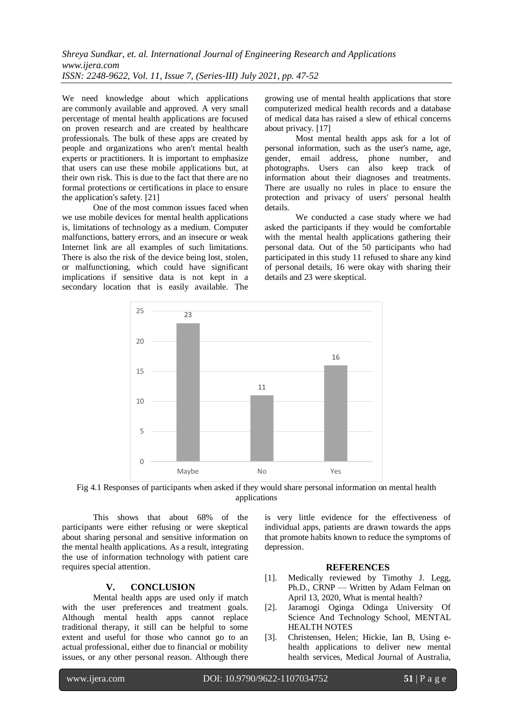We need knowledge about which applications are commonly available and approved. A very small percentage of mental health applications are focused on proven research and are created by healthcare professionals. The bulk of these apps are created by people and organizations who aren't mental health experts or practitioners. It is important to emphasize that users can use these mobile applications but, at their own risk. This is due to the fact that there are no formal protections or certifications in place to ensure the application's safety. [21]

One of the most common issues faced when we use mobile devices for mental health applications is, limitations of technology as a medium. Computer malfunctions, battery errors, and an insecure or weak Internet link are all examples of such limitations. There is also the risk of the device being lost, stolen, or malfunctioning, which could have significant implications if sensitive data is not kept in a secondary location that is easily available. The growing use of mental health applications that store computerized medical health records and a database of medical data has raised a slew of ethical concerns about privacy. [17]

Most mental health apps ask for a lot of personal information, such as the user's name, age, gender, email address, phone number, and photographs. Users can also keep track of information about their diagnoses and treatments. There are usually no rules in place to ensure the protection and privacy of users' personal health details.

We conducted a case study where we had asked the participants if they would be comfortable with the mental health applications gathering their personal data. Out of the 50 participants who had participated in this study 11 refused to share any kind of personal details, 16 were okay with sharing their details and 23 were skeptical.



Fig 4.1 Responses of participants when asked if they would share personal information on mental health applications

This shows that about 68% of the participants were either refusing or were skeptical about sharing personal and sensitive information on the mental health applications. As a result, integrating the use of information technology with patient care requires special attention.

# **V. CONCLUSION**

Mental health apps are used only if match with the user preferences and treatment goals. Although mental health apps cannot replace traditional therapy, it still can be helpful to some extent and useful for those who cannot go to an actual professional, either due to financial or mobility issues, or any other personal reason. Although there is very little evidence for the effectiveness of individual apps, patients are drawn towards the apps that promote habits known to reduce the symptoms of depression.

# **REFERENCES**

- [1]. Medically reviewed by Timothy J. Legg, Ph.D., CRNP — Written by Adam Felman on April 13, 2020, What is mental health?
- [2]. Jaramogi Oginga Odinga University Of Science And Technology School, MENTAL HEALTH NOTES
- [3]. Christensen, Helen; Hickie, Ian B, Using ehealth applications to deliver new mental health services, Medical Journal of Australia,